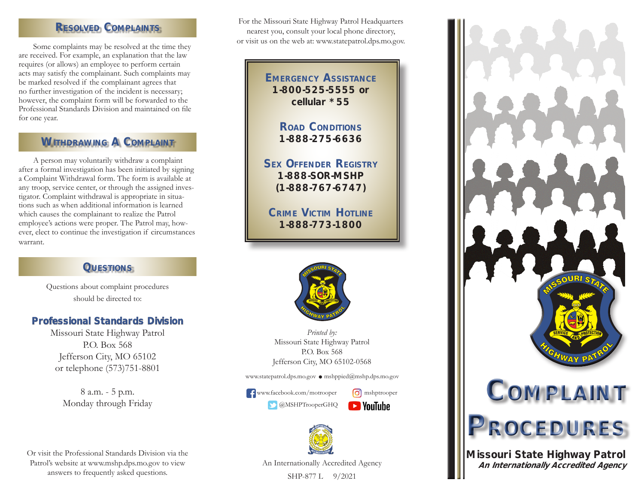# RESOLVED COMPLAINTS

Some complaints may be resolved at the time they are received. For example, an explanation that the law requires (or allows) an employee to perform certain acts may satisfy the complainant. Such complaints may be marked resolved if the complainant agrees that no further investigation of the incident is necessary; however, the complaint form will be forwarded to the Professional Standards Division and maintained on file for one year.

# WITHDRAWING A COMPLAINT

A person may voluntarily withdraw a complaint after a formal investigation has been initiated by signing a Complaint Withdrawal form. The form is available at any troop, service center, or through the assigned investigator. Complaint withdrawal is appropriate in situations such as when additional information is learned which causes the complainant to realize the Patrol employee's actions were proper. The Patrol may, however, elect to continue the investigation if circumstances warrant.

# **QUESTIONS**

Questions about complaint procedures should be directed to:

# Professional Standards Division

Missouri State Highway Patrol P.O. Box 568 Jefferson City, MO 65102 or telephone (573)751-8801

> 8 a.m. - 5 p.m. Monday through Friday

Or visit the Professional Standards Division via the Patrol's website at www.mshp.dps.mo.gov to view answers to frequently asked questions.

For the Missouri State Highway Patrol Headquarters nearest you, consult your local phone directory, or visit us on the web at: www.statepatrol.dps.mo.gov.

> **EMERGENCY ASSISTANCE** 1-800-525-5555 or cellular \*55

> > ROAD CONDITIONS 1-888-275-6636

SEX OFFENDEr REGISTrY 1-888-SOR-MSHP (1-888-767-6747)

CrIME VIcTIM HOTLINE 1-888-773-1800



*Printed by:* Missouri State Highway Patrol P.O. Box 568 Jefferson City, MO 65102-0568

www.statepatrol.dps.mo.gov • mshppied@mshp.dps.mo.gov

**f** www.facebook.com/motrooper **o** mshptrooper  $\bullet$  @MSHPTrooperGHQ





An Internationally Accredited Agency

SHP-877 L 9/2021